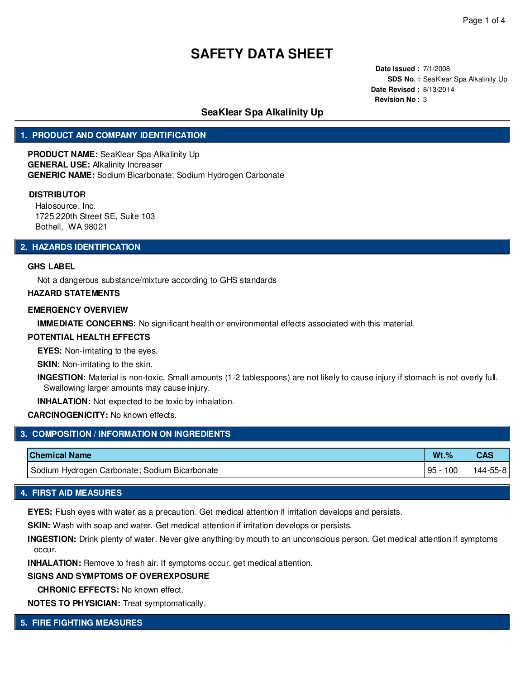**Date Issued :** 7/1/2008 **SDS No. :** SeaKlear Spa Alkalinity Up **Date Revised :** 8/13/2014 **Revision No :** 3

## **SeaKlear Spa Alkalinity Up**

## **1. PRODUCT AND COMPANY IDENTIFICATION**

**PRODUCT NAME:** SeaKlear Spa Alkalinity Up **GENERAL USE:** Alkalinity Increaser **GENERIC NAME:** Sodium Bicarbonate; Sodium Hydrogen Carbonate

#### **DISTRIBUTOR**

Halosource, Inc. 1725 220th Street SE, Suite 103 Bothell, WA 98021

#### **2. HAZARDS IDENTIFICATION**

#### **GHS LABEL**

Not a dangerous substance/mixture according to GHS standards

#### **HAZARD STATEMENTS**

#### **EMERGENCY OVERVIEW**

**IMMEDIATE CONCERNS:** No significant health or environmental effects associated with this material.

#### **POTENTIAL HEALTH EFFECTS**

**EYES:** Non-irritating to the eyes.

**SKIN:** Non-irritating to the skin.

**INGESTION:** Material is non-toxic. Small amounts (1-2 tablespoons) are not likely to cause injury if stomach is not overly full. Swallowing larger amounts may cause injury.

**INHALATION:** Not expected to be toxic by inhalation.

## **CARCINOGENICITY:** No known effects.

| 3. COMPOSITION / INFORMATION ON INGREDIENTS ' |          |            |
|-----------------------------------------------|----------|------------|
| <b>Chemical Name</b>                          | $Wt.$ %  | <b>CAS</b> |
| Sodium Hydrogen Carbonate; Sodium Bicarbonate | 95 - 100 | 144-55-81  |

## **4. FIRST AID MEASURES**

**EYES:** Flush eyes with water as a precaution. Get medical attention if irritation develops and persists.

**SKIN:** Wash with soap and water. Get medical attention if irritation develops or persists.

**INGESTION:** Drink plenty of water. Never give anything by mouth to an unconscious person. Get medical attention if symptoms occur.

**INHALATION:** Remove to fresh air. If symptoms occur, get medical attention.

#### **SIGNS AND SYMPTOMS OF OVEREXPOSURE**

**CHRONIC EFFECTS:** No known effect.

**NOTES TO PHYSICIAN:** Treat symptomatically.

### **5. FIRE FIGHTING MEASURES**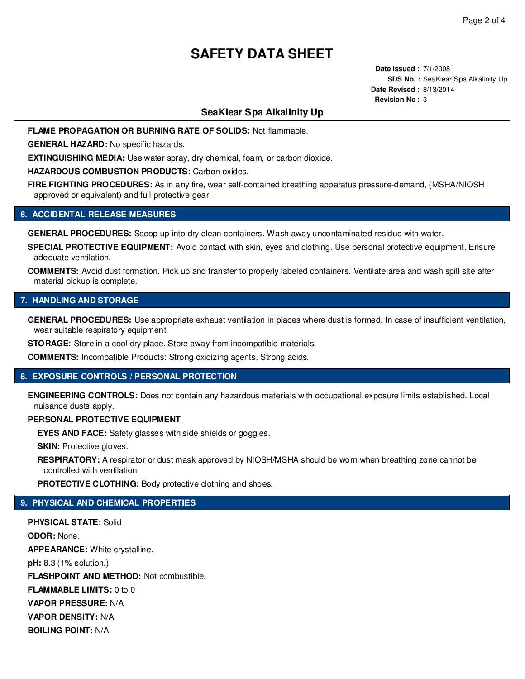**Date Issued :** 7/1/2008 **SDS No. : SeaKlear Spa Alkalinity Up Date Revised :** 8/13/2014 **Revision No :** 3

## **SeaKlear Spa Alkalinity Up**

**FLAME PROPAGATION OR BURNING RATE OF SOLIDS:** Not flammable.

**GENERAL HAZARD:** No specific hazards.

**EXTINGUISHING MEDIA:** Use water spray, dry chemical, foam, or carbon dioxide.

**HAZARDOUS COMBUSTION PRODUCTS:** Carbon oxides.

**FIRE FIGHTING PROCEDURES:** As in any fire, wear self-contained breathing apparatus pressure-demand, (MSHA/NIOSH approved or equivalent) and full protective gear.

#### **6. ACCIDENTAL RELEASE MEASURES**

**GENERAL PROCEDURES:** Scoop up into dry clean containers. Wash away uncontaminated residue with water.

**SPECIAL PROTECTIVE EQUIPMENT:** Avoid contact with skin, eyes and clothing. Use personal protective equipment. Ensure adequate ventilation.

**COMMENTS:** Avoid dust formation. Pick up and transfer to properly labeled containers. Ventilate area and wash spill site after material pickup is complete.

#### **7. HANDLING AND STORAGE**

**GENERAL PROCEDURES:** Use appropriate exhaust ventilation in places where dust is formed. In case of insufficient ventilation, wear suitable respiratory equipment.

**STORAGE:** Store in a cool dry place. Store away from incompatible materials.

**COMMENTS:** Incompatible Products: Strong oxidizing agents. Strong acids.

## **8. EXPOSURE CONTROLS / PERSONAL PROTECTION**

**ENGINEERING CONTROLS:** Does not contain any hazardous materials with occupational exposure limits established. Local nuisance dusts apply.

#### **PERSONAL PROTECTIVE EQUIPMENT**

**EYES AND FACE:** Safety glasses with side shields or goggles.

**SKIN:** Protective gloves.

**RESPIRATORY:** A respirator or dust mask approved by NIOSH/MSHA should be worn when breathing zone cannot be controlled with ventilation.

**PROTECTIVE CLOTHING:** Body protective clothing and shoes.

## **9. PHYSICAL AND CHEMICAL PROPERTIES**

**PHYSICAL STATE:** Solid **ODOR:** None. **APPEARANCE:** White crystalline. **pH:** 8.3 (1% solution.) **FLASHPOINT AND METHOD:** Not combustible. **FLAMMABLE LIMITS:** 0 to 0 **VAPOR PRESSURE:** N/A **VAPOR DENSITY:** N/A. **BOILING POINT:** N/A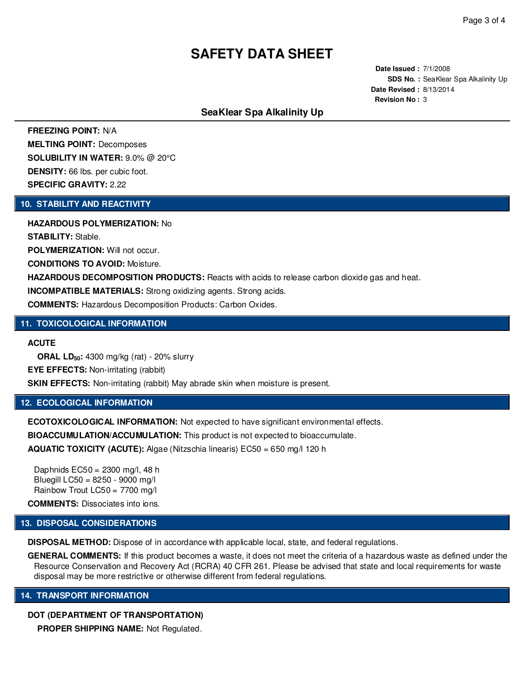**Date Issued :** 7/1/2008 **SDS No. :** SeaKlear Spa Alkalinity Up **Date Revised :** 8/13/2014 **Revision No :** 3

## **SeaKlear Spa Alkalinity Up**

**FREEZING POINT:** N/A **MELTING POINT:** Decomposes **SOLUBILITY IN WATER:** 9.0% @ 20°C **DENSITY:** 66 lbs. per cubic foot. **SPECIFIC GRAVITY:** 2.22

#### **10. STABILITY AND REACTIVITY**

**HAZARDOUS POLYMERIZATION:** No

**STABILITY:** Stable.

**POLYMERIZATION:** Will not occur.

**CONDITIONS TO AVOID:** Moisture.

**HAZARDOUS DECOMPOSITION PRODUCTS:** Reacts with acids to release carbon dioxide gas and heat.

**INCOMPATIBLE MATERIALS:** Strong oxidizing agents. Strong acids.

**COMMENTS:** Hazardous Decomposition Products: Carbon Oxides.

#### **11. TOXICOLOGICAL INFORMATION**

**ACUTE**

**ORAL LD50:** 4300 mg/kg (rat) - 20% slurry **EYE EFFECTS:** Non-irritating (rabbit) **SKIN EFFECTS:** Non-irritating (rabbit) May abrade skin when moisture is present.

## **12. ECOLOGICAL INFORMATION**

**ECOTOXICOLOGICAL INFORMATION:** Not expected to have significant environmental effects. **BIOACCUMULATION/ACCUMULATION:** This product is not expected to bioaccumulate. **AQUATIC TOXICITY (ACUTE):** Algae (Nitzschia linearis) EC50 = 650 mg/l 120 h

Daphnids EC50 = 2300 mg/l, 48 h Bluegill LC50 = 8250 - 9000 mg/l Rainbow Trout LC50 = 7700 mg/l

**COMMENTS:** Dissociates into ions.

#### **13. DISPOSAL CONSIDERATIONS**

**DISPOSAL METHOD:** Dispose of in accordance with applicable local, state, and federal regulations.

**GENERAL COMMENTS:** If this product becomes a waste, it does not meet the criteria of a hazardous waste as defined under the Resource Conservation and Recovery Act (RCRA) 40 CFR 261. Please be advised that state and local requirements for waste disposal may be more restrictive or otherwise different from federal regulations.

#### **14. TRANSPORT INFORMATION**

#### **DOT (DEPARTMENT OF TRANSPORTATION)**

**PROPER SHIPPING NAME:** Not Regulated.